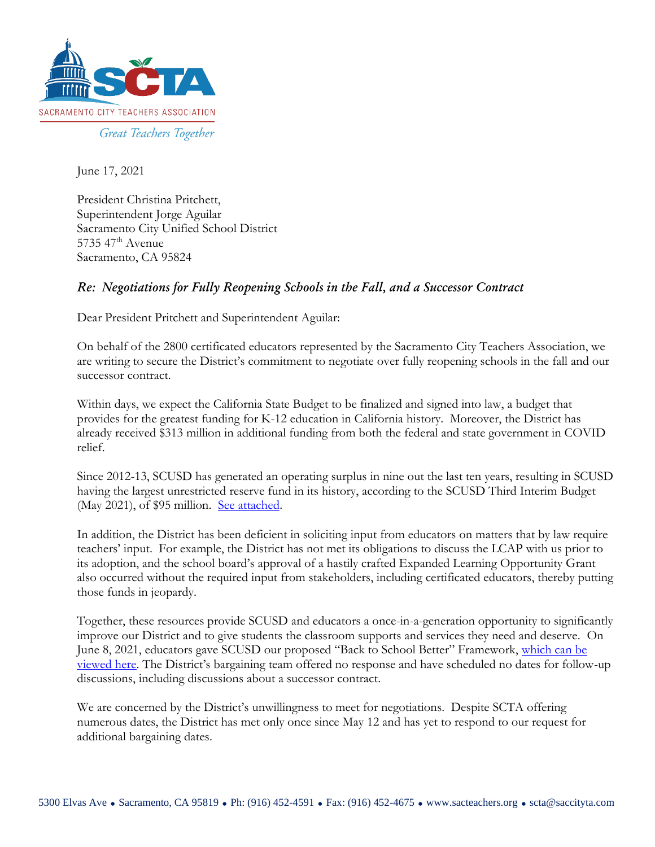

June 17, 2021

President Christina Pritchett, Superintendent Jorge Aguilar Sacramento City Unified School District  $5735$  47<sup>th</sup> Avenue Sacramento, CA 95824

## *Re: Negotiations for Fully Reopening Schools in the Fall, and a Successor Contract*

Dear President Pritchett and Superintendent Aguilar:

On behalf of the 2800 certificated educators represented by the Sacramento City Teachers Association, we are writing to secure the District's commitment to negotiate over fully reopening schools in the fall and our successor contract.

Within days, we expect the California State Budget to be finalized and signed into law, a budget that provides for the greatest funding for K-12 education in California history. Moreover, the District has already received \$313 million in additional funding from both the federal and state government in COVID relief.

Since 2012-13, SCUSD has generated an operating surplus in nine out the last ten years, resulting in SCUSD having the largest unrestricted reserve fund in its history, according to the SCUSD Third Interim Budget (May 2021), of \$95 million. [See attached.](https://sacteachers.org/wp-content/uploads/2021/06/06-11-2021-SCTA-to-JA-and-BOE.pdf)

In addition, the District has been deficient in soliciting input from educators on matters that by law require teachers' input. For example, the District has not met its obligations to discuss the LCAP with us prior to its adoption, and the school board's approval of a hastily crafted Expanded Learning Opportunity Grant also occurred without the required input from stakeholders, including certificated educators, thereby putting those funds in jeopardy.

Together, these resources provide SCUSD and educators a once-in-a-generation opportunity to significantly improve our District and to give students the classroom supports and services they need and deserve. On June 8, 2021, educators gave SCUSD our proposed "Back to School Better" Framework, [which can be](https://sacteachers.org/wp-content/uploads/2021/06/SCTA-Back-to-School-Better-6-8-21.pdf)  [viewed here](https://sacteachers.org/wp-content/uploads/2021/06/SCTA-Back-to-School-Better-6-8-21.pdf). The District's bargaining team offered no response and have scheduled no dates for follow-up discussions, including discussions about a successor contract.

We are concerned by the District's unwillingness to meet for negotiations. Despite SCTA offering numerous dates, the District has met only once since May 12 and has yet to respond to our request for additional bargaining dates.